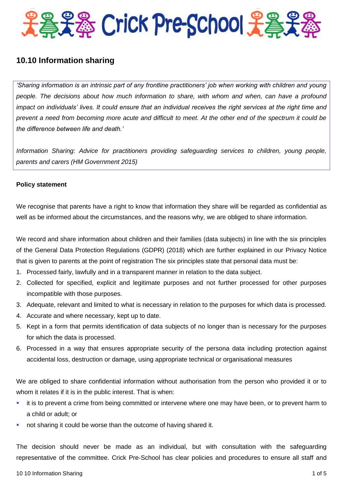

# **10.10 Information sharing**

*'Sharing information is an intrinsic part of any frontline practitioners' job when working with children and young people. The decisions about how much information to share, with whom and when, can have a profound impact on individuals' lives. It could ensure that an individual receives the right services at the right time and prevent a need from becoming more acute and difficult to meet. At the other end of the spectrum it could be the difference between life and death.'*

*Information Sharing: Advice for practitioners providing safeguarding services to children, young people, parents and carers (HM Government 2015)*

## **Policy statement**

We recognise that parents have a right to know that information they share will be regarded as confidential as well as be informed about the circumstances, and the reasons why, we are obliged to share information.

We record and share information about children and their families (data subjects) in line with the six principles of the General Data Protection Regulations (GDPR) (2018) which are further explained in our Privacy Notice that is given to parents at the point of registration The six principles state that personal data must be:

- 1. Processed fairly, lawfully and in a transparent manner in relation to the data subject.
- 2. Collected for specified, explicit and legitimate purposes and not further processed for other purposes incompatible with those purposes.
- 3. Adequate, relevant and limited to what is necessary in relation to the purposes for which data is processed.
- 4. Accurate and where necessary, kept up to date.
- 5. Kept in a form that permits identification of data subjects of no longer than is necessary for the purposes for which the data is processed.
- 6. Processed in a way that ensures appropriate security of the persona data including protection against accidental loss, destruction or damage, using appropriate technical or organisational measures

We are obliged to share confidential information without authorisation from the person who provided it or to whom it relates if it is in the public interest. That is when:

- it is to prevent a crime from being committed or intervene where one may have been, or to prevent harm to a child or adult; or
- not sharing it could be worse than the outcome of having shared it.

The decision should never be made as an individual, but with consultation with the safeguarding representative of the committee. Crick Pre-School has clear policies and procedures to ensure all staff and

#### 10 10 Information Sharing 1 of 5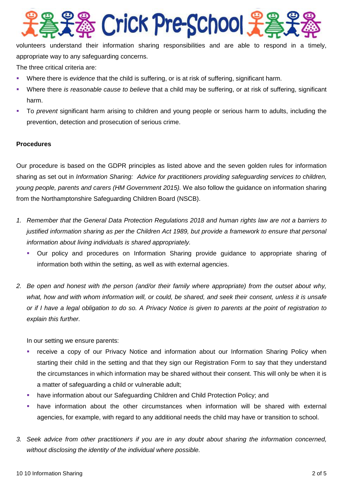

volunteers understand their information sharing responsibilities and are able to respond in a timely, appropriate way to any safeguarding concerns.

The three critical criteria are:

- Where there is *evidence* that the child is suffering, or is at risk of suffering, significant harm.
- Where there *is reasonable cause to believe* that a child may be suffering, or at risk of suffering, significant harm.
- To *prevent* significant harm arising to children and young people or serious harm to adults, including the prevention, detection and prosecution of serious crime.

## **Procedures**

Our procedure is based on the GDPR principles as listed above and the seven golden rules for information sharing as set out in *Information Sharing: Advice for practitioners providing safeguarding services to children, young people, parents and carers (HM Government 2015).* We also follow the guidance on information sharing from the Northamptonshire Safeguarding Children Board (NSCB).

- *1. Remember that the General Data Protection Regulations 2018 and human rights law are not a barriers to justified information sharing as per the Children Act 1989, but provide a framework to ensure that personal information about living individuals is shared appropriately.*
	- Our policy and procedures on Information Sharing provide guidance to appropriate sharing of information both within the setting, as well as with external agencies.
- *2. Be open and honest with the person (and/or their family where appropriate) from the outset about why, what, how and with whom information will, or could, be shared, and seek their consent, unless it is unsafe or if I have a legal obligation to do so. A Privacy Notice is given to parents at the point of registration to explain this further.*

In our setting we ensure parents:

- receive a copy of our Privacy Notice and information about our Information Sharing Policy when starting their child in the setting and that they sign our Registration Form to say that they understand the circumstances in which information may be shared without their consent. This will only be when it is a matter of safeguarding a child or vulnerable adult;
- have information about our Safeguarding Children and Child Protection Policy; and
- have information about the other circumstances when information will be shared with external agencies, for example, with regard to any additional needs the child may have or transition to school.
- *3. Seek advice from other practitioners if you are in any doubt about sharing the information concerned, without disclosing the identity of the individual where possible.*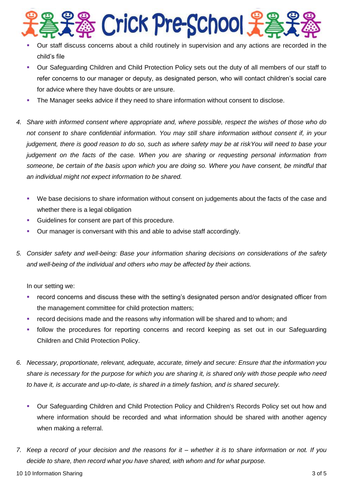

- Our staff discuss concerns about a child routinely in supervision and any actions are recorded in the child's file
- Our Safeguarding Children and Child Protection Policy sets out the duty of all members of our staff to refer concerns to our manager or deputy, as designated person, who will contact children's social care for advice where they have doubts or are unsure.
- The Manager seeks advice if they need to share information without consent to disclose.
- *4. Share with informed consent where appropriate and, where possible, respect the wishes of those who do not consent to share confidential information. You may still share information without consent if, in your judgement, there is good reason to do so, such as where safety may be at riskYou will need to base your judgement on the facts of the case. When you are sharing or requesting personal information from someone, be certain of the basis upon which you are doing so. Where you have consent, be mindful that an individual might not expect information to be shared.*
	- We base decisions to share information without consent on judgements about the facts of the case and whether there is a legal obligation
	- Guidelines for consent are part of this procedure.
	- Our manager is conversant with this and able to advise staff accordingly.
- *5. Consider safety and well-being: Base your information sharing decisions on considerations of the safety and well-being of the individual and others who may be affected by their actions.*

In our setting we:

- record concerns and discuss these with the setting's designated person and/or designated officer from the management committee for child protection matters;
- record decisions made and the reasons why information will be shared and to whom; and
- follow the procedures for reporting concerns and record keeping as set out in our Safeguarding Children and Child Protection Policy.
- *6. Necessary, proportionate, relevant, adequate, accurate, timely and secure: Ensure that the information you share is necessary for the purpose for which you are sharing it, is shared only with those people who need to have it, is accurate and up-to-date, is shared in a timely fashion, and is shared securely.*
	- Our Safeguarding Children and Child Protection Policy and Children's Records Policy set out how and where information should be recorded and what information should be shared with another agency when making a referral.
- *7. Keep a record of your decision and the reasons for it – whether it is to share information or not. If you decide to share, then record what you have shared, with whom and for what purpose.*

10 10 Information Sharing 3 of 5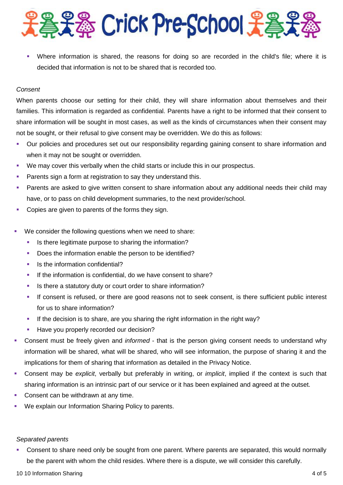

 Where information is shared, the reasons for doing so are recorded in the child's file; where it is decided that information is not to be shared that is recorded too.

## *Consent*

When parents choose our setting for their child, they will share information about themselves and their families. This information is regarded as confidential. Parents have a right to be informed that their consent to share information will be sought in most cases, as well as the kinds of circumstances when their consent may not be sought, or their refusal to give consent may be overridden. We do this as follows:

- Our policies and procedures set out our responsibility regarding gaining consent to share information and when it may not be sought or overridden.
- We may cover this verbally when the child starts or include this in our prospectus.
- Parents sign a form at registration to say they understand this.
- Parents are asked to give written consent to share information about any additional needs their child may have, or to pass on child development summaries, to the next provider/school.
- Copies are given to parents of the forms they sign.
- We consider the following questions when we need to share:
	- Is there legitimate purpose to sharing the information?
	- Does the information enable the person to be identified?
	- Is the information confidential?
	- If the information is confidential, do we have consent to share?
	- Is there a statutory duty or court order to share information?
	- If consent is refused, or there are good reasons not to seek consent, is there sufficient public interest for us to share information?
	- If the decision is to share, are you sharing the right information in the right way?
	- Have you properly recorded our decision?
- Consent must be freely given and *informed* that is the person giving consent needs to understand why information will be shared, what will be shared, who will see information, the purpose of sharing it and the implications for them of sharing that information as detailed in the Privacy Notice.
- Consent may be *explicit*, verbally but preferably in writing, or *implicit*, implied if the context is such that sharing information is an intrinsic part of our service or it has been explained and agreed at the outset.
- Consent can be withdrawn at any time.
- **We explain our Information Sharing Policy to parents.**

#### *Separated parents*

• Consent to share need only be sought from one parent. Where parents are separated, this would normally be the parent with whom the child resides. Where there is a dispute, we will consider this carefully.

10 10 Information Sharing 4 of 5